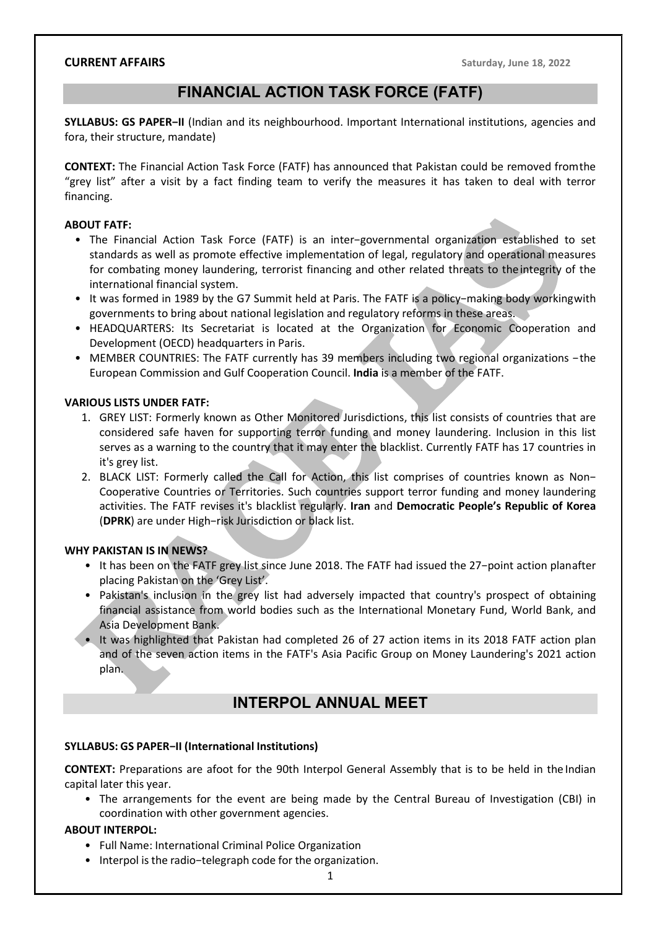# FINANCIAL ACTION TASK FORCE (FATF)

SYLLABUS: GS PAPER−II (Indian and its neighbourhood. Important International institutions, agencies and fora, their structure, mandate)

CONTEXT: The Financial Action Task Force (FATF) has announced that Pakistan could be removed from the "grey list" after a visit by a fact finding team to verify the measures it has taken to deal with terror financing.

### ABOUT FATF:

- The Financial Action Task Force (FATF) is an inter−governmental organization established to set standards as well as promote effective implementation of legal, regulatory and operational measures for combating money laundering, terrorist financing and other related threats to the integrity of the international financial system.
- It was formed in 1989 by the G7 Summit held at Paris. The FATF is a policy−making body working with governments to bring about national legislation and regulatory reforms in these areas.
- HEADQUARTERS: Its Secretariat is located at the Organization for Economic Cooperation and Development (OECD) headquarters in Paris.
- MEMBER COUNTRIES: The FATF currently has 39 members including two regional organizations − the European Commission and Gulf Cooperation Council. India is a member of the FATF.

#### VARIOUS LISTS UNDER FATF:

- 1. GREY LIST: Formerly known as Other Monitored Jurisdictions, this list consists of countries that are considered safe haven for supporting terror funding and money laundering. Inclusion in this list serves as a warning to the country that it may enter the blacklist. Currently FATF has 17 countries in it's grey list.
- 2. BLACK LIST: Formerly called the Call for Action, this list comprises of countries known as Non− Cooperative Countries or Territories. Such countries support terror funding and money laundering activities. The FATF revises it's blacklist regularly. Iran and Democratic People's Republic of Korea (DPRK) are under High-risk Jurisdiction or black list.

#### WHY PAKISTAN IS IN NEWS?

- It has been on the FATF grey list since June 2018. The FATF had issued the 27−point action plan after placing Pakistan on the 'Grey List'.
- Pakistan's inclusion in the grey list had adversely impacted that country's prospect of obtaining financial assistance from world bodies such as the International Monetary Fund, World Bank, and Asia Development Bank.
- It was highlighted that Pakistan had completed 26 of 27 action items in its 2018 FATF action plan and of the seven action items in the FATF's Asia Pacific Group on Money Laundering's 2021 action plan.

# INTERPOL ANNUAL MEET

#### SYLLABUS: GS PAPER−II (International Institutions)

CONTEXT: Preparations are afoot for the 90th Interpol General Assembly that is to be held in the Indian capital later this year.

• The arrangements for the event are being made by the Central Bureau of Investigation (CBI) in coordination with other government agencies.

#### ABOUT INTERPOL:

- Full Name: International Criminal Police Organization
- Interpol is the radio−telegraph code for the organization.